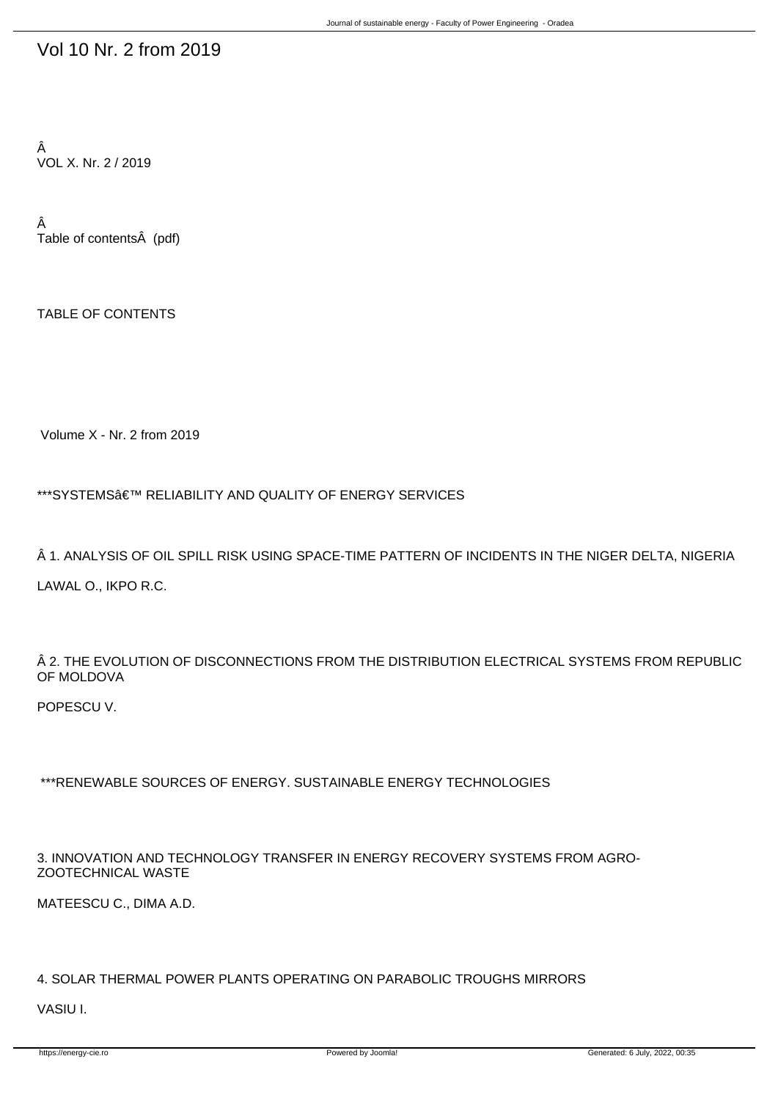## Vol 10 Nr. 2 from 2019

Â VOL X. Nr. 2 / 2019

Â Table of contents (pdf)

TABLE OF CONTENTS

Volume X - Nr. 2 from 2019

\*\*\*SYSTEMS' RELIABILITY AND QUALITY OF ENERGY SERVICES

1. ANALYSIS OF OIL SPILL RISK USING SPACE-TIME PATTERN OF INCIDENTS IN THE NIGER DELTA, NIGERIA

LAWAL O., IKPO R.C.

 $\hat{A}$  2. THE EVOLUTION OF DISCONNECTIONS FROM THE DISTRIBUTION ELECTRICAL SYSTEMS FROM REPUBLIC OF MOLDOVA

POPESCU V.

\*\*\*RENEWABLE SOURCES OF ENERGY. SUSTAINABLE ENERGY TECHNOLOGIES

3. INNOVATION AND TECHNOLOGY TRANSFER IN ENERGY RECOVERY SYSTEMS FROM AGRO-ZOOTECHNICAL WASTE

MATEESCU C., DIMA A.D.

## 4. SOLAR THERMAL POWER PLANTS OPERATING ON PARABOLIC TROUGHS MIRRORS

VASIU I.